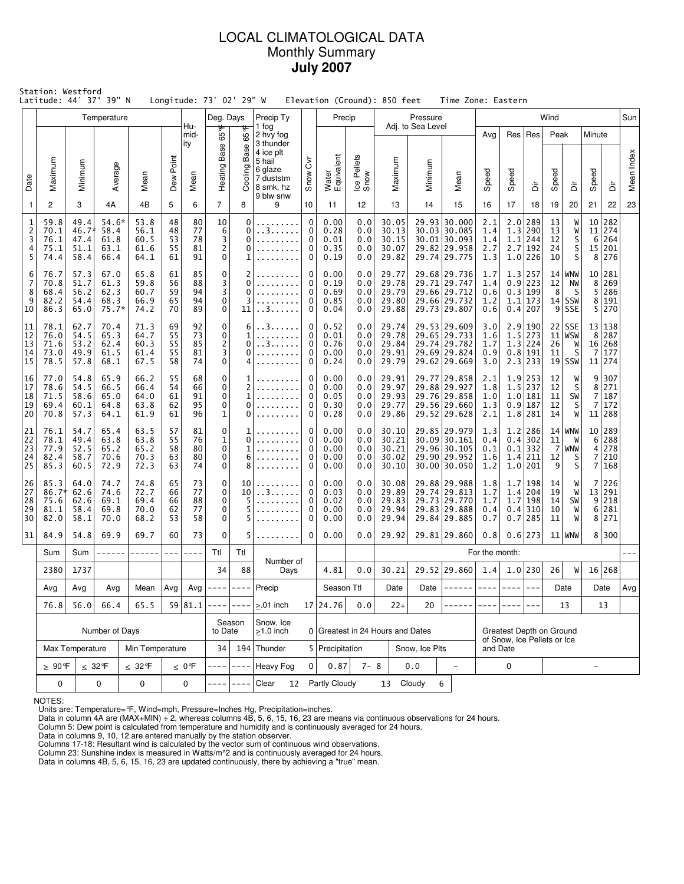# LOCAL CLIMATOLOGICAL DATA Monthly Summary **July 2007**

| Station: Westford<br>Latitude: 44° 37'<br>39" N<br>Longitude: 73° 02' 29" W<br>Elevation (Ground): 850 feet<br>Time Zone: Eastern<br>Temperature<br>Precip Ty<br>Precip<br>Wind<br>Deg. Days<br>Pressure |                                                                            |                                       |                                         |                                      |                                                          |                            |                                                     |                               |                                                |                                 |                                      |                                 |                                           |                   |                                                                              |                                 |                                                         |                                                              |                            |                                               |                                                  |                                       |            |
|----------------------------------------------------------------------------------------------------------------------------------------------------------------------------------------------------------|----------------------------------------------------------------------------|---------------------------------------|-----------------------------------------|--------------------------------------|----------------------------------------------------------|----------------------------|-----------------------------------------------------|-------------------------------|------------------------------------------------|---------------------------------|--------------------------------------|---------------------------------|-------------------------------------------|-------------------|------------------------------------------------------------------------------|---------------------------------|---------------------------------------------------------|--------------------------------------------------------------|----------------------------|-----------------------------------------------|--------------------------------------------------|---------------------------------------|------------|
|                                                                                                                                                                                                          |                                                                            |                                       |                                         |                                      |                                                          | Hu-                        |                                                     |                               | 1 fog                                          |                                 |                                      |                                 |                                           | Adj. to Sea Level |                                                                              |                                 |                                                         |                                                              |                            |                                               |                                                  |                                       | Sun        |
|                                                                                                                                                                                                          |                                                                            |                                       |                                         |                                      |                                                          | mid-<br>ity                | ₩<br>Ğð<br>Base                                     | 65°F<br>Base                  | 2 hvy fog<br>3 thunder<br>4 ice plt<br>5 hail  | $\overline{\delta}$             |                                      |                                 |                                           |                   |                                                                              | Avg                             |                                                         | Res   Res                                                    | Peak                       |                                               | Minute                                           |                                       |            |
| Date                                                                                                                                                                                                     | Maximum                                                                    | Minimum                               | Average                                 | Mean                                 | Point<br>Dew                                             | Mean                       | Heating F                                           | Cooling                       | 6 glaze<br>7 duststm<br>8 smk, hz<br>9 blw snw | Snow                            | Water<br>Equivalent                  | Ice Pellets<br>Snow             | Maximum                                   | Minimum           | Mean                                                                         | Speed                           | Speed                                                   | έ                                                            | Speed                      | ă                                             | Speed                                            | ă                                     | Mean Index |
| $\mathbf{1}$                                                                                                                                                                                             | 2                                                                          | 3                                     | 4A                                      | 4B                                   | 5                                                        | 6                          | $\overline{7}$                                      | 8                             | 9                                              | 10                              | 11                                   | 12                              | 13                                        | 14                | 15                                                                           | 16                              | 17                                                      | 18                                                           | 19                         | 20                                            | 21                                               | 22                                    | 23         |
| 1<br>$\overline{c}$<br>3<br>4<br>5                                                                                                                                                                       | 59.8<br>70.1<br>76.1<br>75.1<br>74.4                                       | 49.4<br>46.7*<br>47.4<br>51.1<br>58.4 | 54.6*<br>58.4<br>61.8<br>63.1<br>66.4   | 53.8<br>56.1<br>60.5<br>61.6<br>64.1 | 48<br>48<br>53<br>55<br>61                               | 80<br>77<br>78<br>81<br>91 | 10<br>6<br>3<br>$\overline{2}$<br>$\mathbf 0$       | 0<br>0<br>0<br>0<br>1         | . . 3                                          | $\mathbf 0$<br>0<br>0<br>0<br>0 | 0.00<br>0.28<br>0.01<br>0.35<br>0.19 | 0.0<br>0.0<br>0.0<br>0.0<br>0.0 | 30.05<br>30.13<br>30.15<br>30.07<br>29.82 |                   | 29.93 30.000<br>30.03 30.085<br>30.01 30.093<br>29.82 29.958<br>29.74 29.775 | 2.1<br>1.4<br>1.4<br>2.7<br>1.3 | 2.7                                                     | $2.0$  289<br>1.3 290<br>$1.1$   244<br> 192<br>$1.0$ 226    | 13<br>13<br>12<br>24<br>10 | W<br>W<br>S<br>S<br>S                         | 10<br>11<br>6                                    | 282<br>274<br>264<br>15 201<br>8 276  |            |
| 6<br>7<br>8<br>9<br>10                                                                                                                                                                                   | 76.7<br>70.8<br>68.4<br>82.2<br>86.3                                       | 57.3<br>51.7<br>56.2<br>54.4<br>65.0  | 67.0<br>61.3<br>62.3<br>68.3<br>$75.7*$ | 65.8<br>59.8<br>60.7<br>66.9<br>74.2 | 85<br>61<br>88<br>56<br>94<br>59<br>94<br>65<br>89<br>70 |                            | 0<br>3<br>3<br>$\mathbf 0$<br>$\mathbf 0$           | 2<br>0<br>$\Omega$<br>3<br>11 | . . 3. .                                       | 0<br>0<br>0<br>0<br>0           | 0.00<br>0.19<br>0.69<br>0.85<br>0.04 | 0.0<br>0.0<br>0.0<br>0.0<br>0.0 | 29.77<br>29.78<br>29.79<br>29.80<br>29.88 |                   | 29.68 29.736<br>29.71 29.747<br>29.66 29.712<br>29.66 29.732<br>29.73 29.807 | 1.7<br>1.4<br>0.6<br>1.2<br>0.6 |                                                         | 1.3 257<br>$0.9$   223<br>0.3 199<br>$1.1$   173<br>0.4 207  | 12<br>8                    | $14$ WNW<br>NW<br>- S<br>$14$ SSW<br>$9$ SSE  | 8<br>5<br>8<br>5                                 | 10 281<br>269<br>286<br>191<br>270    |            |
| 11<br>12<br>13<br>14<br>15                                                                                                                                                                               | 78.1<br>76.0<br>71.6<br>73.0<br>78.5                                       | 62.7<br>54.5<br>53.2<br>49.9<br>57.8  | 70.4<br>65.3<br>62.4<br>61.5<br>68.1    | 71.3<br>64.7<br>60.3<br>61.4<br>67.5 | 69<br>55<br>55<br>55<br>58                               | 92<br>73<br>85<br>81<br>74 | 0<br>0<br>$\overline{c}$<br>3<br>0                  | 6<br>1<br>0<br>0<br>4         | . . 3.<br>. . 3                                | 0<br>0<br>0<br>0<br>0           | 0.52<br>0.01<br>0.76<br>0.00<br>0.24 | 0.0<br>0.0<br>0.0<br>0.0<br>0.0 | 29.74<br>29.78<br>29.84<br>29.91<br>29.79 |                   | 29.53 29.609<br>29.65 29.733<br>29.74 29.782<br>29.69 29.824<br>29.62 29.669 | 3.0<br>1.6<br>1.7<br>0.9<br>3.0 |                                                         | 2.9 190<br>$1.5$ 273<br>1.3 224<br>0.8 191<br>2.3 233        | 22<br>26<br>11             | <b>SSE</b><br>$11 $ WSW<br>W<br>S<br>$19$ SSW | 13<br>8<br>$\overline{7}$                        | 138<br>287<br>16 268<br>177<br>11 274 |            |
| 16<br>17<br>18<br>19<br>20                                                                                                                                                                               | 77.0<br>78.6<br>71.5<br>69.4<br>70.8                                       | 54.8<br>54.5<br>58.6<br>60.1<br>57.3  | 65.9<br>66.5<br>65.0<br>64.8<br>64.1    | 66.2<br>66.4<br>64.0<br>63.8<br>61.9 | 55<br>54<br>61<br>62<br>61                               | 68<br>66<br>91<br>95<br>96 | 0<br>$\mathbf 0$<br>$\mathbf 0$<br>0<br>$\mathbf 1$ | 1<br>2<br>1<br>0<br>0         |                                                | 0<br>0<br>0<br>0<br>0           | 0.00<br>0.00<br>0.05<br>0.30<br>0.28 | 0.0<br>0.0<br>0.0<br>0.0<br>0.0 | 29.91<br>29.97<br>29.93<br>29.77<br>29.86 |                   | 29.77 29.858<br>29.88 29.927<br>29.76 29.858<br>29.56 29.660<br>29.52 29.628 | 2.1<br>1.8<br>1.0<br>1.3<br>2.1 |                                                         | $1.9$   253<br>$1.5$ 237<br>1.0 181<br>$0.9$ 187<br>1.8 281  | 12<br>12<br>11<br>12<br>14 | W<br>S<br>SW<br>S<br>W                        | 9<br>8<br>$\overline{7}$<br>7                    | 307<br>271<br>187<br>172<br>11 288    |            |
| 21<br>22<br>23<br>24<br>25                                                                                                                                                                               | 76.1<br>78.1<br>77.9<br>82.4<br>85.3                                       | 54.7<br>49.4<br>52.5<br>58.7<br>60.5  | 65.4<br>63.8<br>65.2<br>70.6<br>72.9    | 63.5<br>63.8<br>65.2<br>70.3<br>72.3 | 57<br>55<br>58<br>63<br>63                               | 81<br>76<br>80<br>80<br>74 | 0<br>$\mathbf 1$<br>$\mathbf 0$<br>0<br>0           | 1<br>0<br>1<br>6<br>8         |                                                | 0<br>0<br>0<br>0<br>0           | 0.00<br>0.00<br>0.00<br>0.00<br>0.00 | 0.0<br>0.0<br>0.0<br>0.0<br>0.0 | 30.10<br>30.21<br>30.21<br>30.02<br>30.10 |                   | 29.85 29.979<br>30.09 30.161<br>29.96 30.105<br>29.90 29.952<br>30.00 30.050 | 1.3<br>0.4<br>0.1<br>1.6<br>1.2 |                                                         | $1.2$  286<br>$0.4$ 302<br>$0.1$   332<br>1.4 211<br>1.0 201 | 11<br>7<br>12<br>9         | $14$ WNW<br>W<br>  WNW<br>S<br>S              | 6<br>$\overline{4}$<br>7<br>7                    | 10 289<br>288<br>278<br>210<br>168    |            |
| 26<br>27<br>28<br>29<br>30                                                                                                                                                                               | 85.3<br>$86.7*$<br>75.6<br>81.1<br>82.0                                    | 64.0<br>62.6<br>62.6<br>58.4<br>58.1  | 74.7<br>74.6<br>69.1<br>69.8<br>70.0    | 74.8<br>72.7<br>69.4<br>70.0<br>68.2 | 65<br>66<br>66<br>62<br>53                               | 73<br>77<br>88<br>77<br>58 | 0<br>$\mathbf 0$<br>$\mathbf 0$<br>0<br>0           | 10<br>10<br>5<br>5<br>5       | . . 3.                                         | 0<br>0<br>0<br>0<br>0           | 0.00<br>0.03<br>0.02<br>0.00<br>0.00 | 0.0<br>0.0<br>0.0<br>0.0<br>0.0 | 30.08<br>29.89<br>29.83<br>29.94<br>29.94 |                   | 29.88 29.988<br>29.74 29.813<br>29.73 29.770<br>29.83 29.888<br>29.84 29.885 | 1.8<br>1.7<br>1.7<br>0.4<br>0.7 |                                                         | 1.7 198<br>1.4 204<br>1.7 198<br>$0.4$ 310<br>$0.7$   285    | 14<br>19<br>14<br>10<br>11 | W<br>W<br>SW<br>W<br>W                        | 7<br>13<br>9<br>6 <sup>1</sup><br>8 <sup>1</sup> | 226<br>291<br>218<br>281<br>271       |            |
| 31                                                                                                                                                                                                       | 84.9                                                                       | 54.8                                  | 69.9                                    | 69.7                                 | 60                                                       | 73                         | 0                                                   | 5                             | .                                              | 0                               | 0.00                                 | 0.0                             | 29.92                                     |                   | 29.81 29.860                                                                 | 0.8                             |                                                         | 0.6 273                                                      |                            | $11$ WNW                                      |                                                  | 8 300                                 |            |
|                                                                                                                                                                                                          | Sum                                                                        | Sum                                   | ------                                  | ------                               | ---                                                      | ----                       | Ttl                                                 | Ttl                           | Number of                                      |                                 |                                      |                                 |                                           |                   |                                                                              | For the month:                  |                                                         |                                                              |                            |                                               |                                                  |                                       |            |
|                                                                                                                                                                                                          | 2380                                                                       | 1737                                  |                                         |                                      |                                                          |                            | 34                                                  | 88                            | Days                                           |                                 | 4.81                                 | 0.0                             | 30.21                                     |                   | 29.52 29.860                                                                 | 1.4                             |                                                         | $1.0$  230                                                   | 26                         | W                                             |                                                  | 16 268                                |            |
|                                                                                                                                                                                                          | Avg                                                                        | Avg                                   | Avg                                     | Mean<br>65.5                         | Avg                                                      | Avg  <br>59 81.1           | $- - - - -$                                         | $- - - - -$                   | Precip                                         |                                 | Season Ttl<br>17 24.76               | 0.0                             | Date                                      | Date              |                                                                              |                                 |                                                         |                                                              |                            | Date                                          |                                                  | Date                                  | Avg        |
|                                                                                                                                                                                                          | 76.8                                                                       | 56.0                                  | 66.4                                    |                                      |                                                          |                            | $- - - -$                                           | $-$<br>Season                 | $\geq$ .01 inch<br>Snow, Ice                   |                                 |                                      |                                 | $22+$                                     | 20                |                                                                              |                                 |                                                         | $---$                                                        |                            | 13                                            |                                                  | 13                                    |            |
|                                                                                                                                                                                                          |                                                                            |                                       | Number of Days                          |                                      |                                                          |                            | to Date                                             |                               | $\geq$ 1.0 inch                                |                                 |                                      |                                 | 0 Greatest in 24 Hours and Dates          |                   |                                                                              |                                 | Greatest Depth on Ground<br>of Snow, Ice Pellets or Ice |                                                              |                            |                                               |                                                  |                                       |            |
|                                                                                                                                                                                                          |                                                                            | Max Temperature                       |                                         | Min Temperature                      |                                                          |                            | 34                                                  |                               | 194 Thunder                                    |                                 | 5 Precipitation                      |                                 |                                           | Snow, Ice Plts    |                                                                              | and Date                        |                                                         |                                                              |                            |                                               |                                                  |                                       |            |
|                                                                                                                                                                                                          | $\geq 90$ °F                                                               |                                       | $\leq 32$ °F                            | $\leq 32$ °F                         |                                                          | $\leq 0$ °F                |                                                     |                               | <b>Heavy Fog</b>                               | 0                               | 0.87                                 | $7 - 8$                         |                                           | 0.0               | $\overline{a}$                                                               |                                 | 0                                                       |                                                              |                            |                                               | $\overline{\phantom{a}}$                         |                                       |            |
|                                                                                                                                                                                                          | 0<br>0<br>$\pmb{0}$<br>0<br>Partly Cloudy<br>13 Cloudy<br>6<br>Clear<br>12 |                                       |                                         |                                      |                                                          |                            |                                                     |                               |                                                |                                 |                                      |                                 |                                           |                   |                                                                              |                                 |                                                         |                                                              |                            |                                               |                                                  |                                       |            |

NOTES:

Units are: Temperature=°F, Wind=mph, Pressure=Inches Hg, Precipitation=inches. Data in column 4A are (MAX+MIN) ÷ 2, whereas columns 4B, 5, 6, 15, 16, 23 are means via continuous observations for 24 hours.

Column 5: Dew point is calculated from temperature and humidity and is continuously averaged for 24 hours. Data in columns 9, 10, 12 are entered manually by the station observer.

Columns 17-18: Resultant wind is calculated by the vector sum of continuous wind observations.<br>Column 23: Sunshine index is measured in Watts/m^2 and is continuously averaged for 24 hours.<br>Data in columns 4B, 5, 6, 15, 16,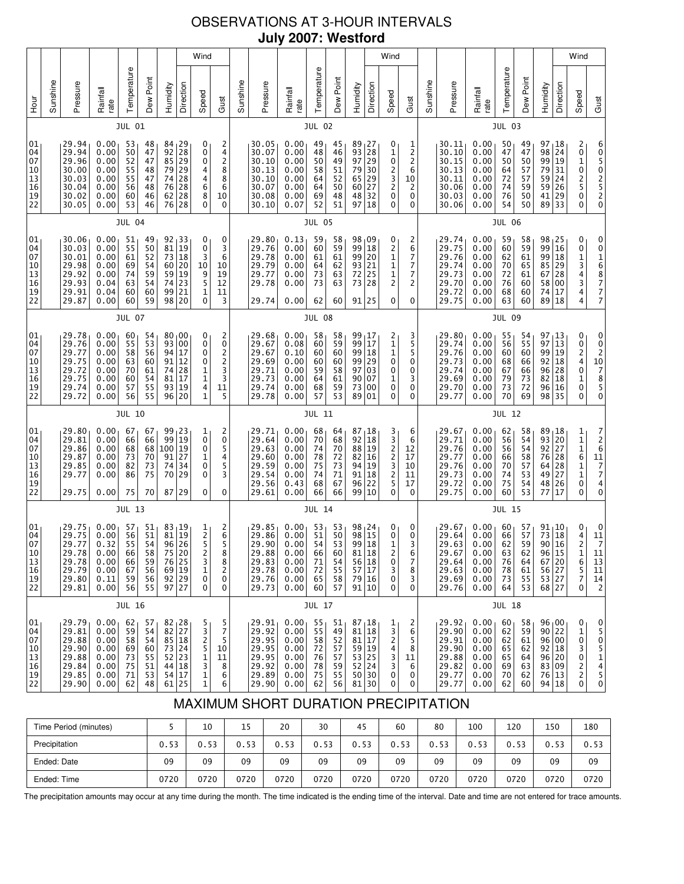# OBSERVATIONS AT 3-HOUR INTERVALS **July 2007: Westford**

|                                                                             |          |                                                                      |                                                              |                                              |                                              |                                                                             |                                                                                                                                                             | Wind                                                     |                                                             |               |                                                                      |                                                              |                                              |                                              |                                                                          |                                                                                          | Wind                                                     |                                                             |               |                                                                      |                                                              |                                              |                                                                             |                                                                      |                                                  | Wind                                                                |                                                                                                                 |
|-----------------------------------------------------------------------------|----------|----------------------------------------------------------------------|--------------------------------------------------------------|----------------------------------------------|----------------------------------------------|-----------------------------------------------------------------------------|-------------------------------------------------------------------------------------------------------------------------------------------------------------|----------------------------------------------------------|-------------------------------------------------------------|---------------|----------------------------------------------------------------------|--------------------------------------------------------------|----------------------------------------------|----------------------------------------------|--------------------------------------------------------------------------|------------------------------------------------------------------------------------------|----------------------------------------------------------|-------------------------------------------------------------|---------------|----------------------------------------------------------------------|--------------------------------------------------------------|----------------------------------------------|-----------------------------------------------------------------------------|----------------------------------------------------------------------|--------------------------------------------------|---------------------------------------------------------------------|-----------------------------------------------------------------------------------------------------------------|
| <b>Hour</b>                                                                 | Sunshine | Pressure                                                             | Rainfall<br>rate                                             | Temperature                                  | Dew Point                                    | Humidity                                                                    | Direction                                                                                                                                                   | Speed                                                    | Gust                                                        | Sunshine      | Pressure                                                             | Rainfall<br>rate                                             | Temperature                                  | Dew Point                                    | Humidity                                                                 | Direction                                                                                | Speed                                                    | Gust                                                        | Sunshine      | Pressure                                                             | Rainfall<br>rate                                             | Temperature                                  | Dew Point                                                                   | Humidity                                                             | Direction                                        | Speed                                                               | Gust                                                                                                            |
|                                                                             |          |                                                                      |                                                              | JUL 01                                       |                                              |                                                                             |                                                                                                                                                             |                                                          |                                                             |               |                                                                      |                                                              | <b>JUL 02</b>                                |                                              |                                                                          |                                                                                          |                                                          |                                                             |               |                                                                      |                                                              | <b>JUL 03</b>                                |                                                                             |                                                                      |                                                  |                                                                     |                                                                                                                 |
| 01<br>04<br>07<br>10<br>13<br>16<br>$\begin{array}{c} 19 \\ 22 \end{array}$ |          | 29.94<br>29.94<br>29.96<br>30.00<br>30.03<br>30.04<br>30.02<br>30.05 | 0.00<br>0.00<br>0.00<br>0.00<br>0.00<br>0.00<br>0.00<br>0.00 | 53<br>50<br>52<br>55<br>55<br>56<br>60<br>53 | 48<br>47<br>47<br>48<br>47<br>48<br>46<br>46 | 84<br>$\begin{array}{c} 92 \\ 85 \end{array}$<br>79<br>74<br>76<br>62<br>76 | 29<br>28<br>29<br>29<br>$\begin{array}{c} 28 \\ 28 \end{array}$<br>28<br>28                                                                                 | 0<br>0<br>0<br>4<br>4<br>6<br>$^8_0$                     | 2<br>4<br>$\overline{\mathbf{c}}$<br>8<br>8<br>6<br>10<br>0 |               | 30.05<br>30.07<br>30.10<br>30.13<br>30.10<br>30.07<br>30.08<br>30.10 | 0.00<br>0.00<br>0.00<br>0.00<br>0.00<br>0.00<br>0.00<br>0.07 | 49<br>48<br>50<br>58<br>64<br>64<br>69<br>52 | 45<br>46<br>49<br>51<br>52<br>50<br>48<br>51 | 89<br>93<br>97<br>79 30<br>65 29<br>60 27<br>48 32<br>97                 | 27<br>$\begin{array}{ c c }\n\hline\n28 \\ 29\n\end{array}$<br>18                        | 0<br>1<br>0<br>2<br>3<br>2<br>0<br>0                     | 1<br>2<br>$\overline{\mathbf{c}}$<br>6<br>10<br>2<br>0<br>0 |               | 30.11<br>30.10<br>30.15<br>30.13<br>30.11<br>30.06<br>30.03<br>30.06 | 0.00<br>0.00<br>0.00<br>0.00<br>0.00<br>0.00<br>0.00<br>0.00 | 50<br>47<br>50<br>64<br>72<br>74<br>76<br>54 | 49<br>47<br>50<br>$\frac{57}{57}$<br>59<br>50<br>50                         | 97<br>98<br>99<br>79<br>59<br>59<br>41<br>89 33                      | 18<br>24<br> 19<br>31<br>24<br> 26<br>29         | 2<br>0<br>1<br>$\begin{array}{c} 0 \\ 2 \\ 5 \end{array}$<br>0<br>0 | 6<br>0502520                                                                                                    |
|                                                                             |          |                                                                      |                                                              | <b>JUL 04</b>                                |                                              |                                                                             |                                                                                                                                                             |                                                          |                                                             |               |                                                                      |                                                              | <b>JUL 05</b>                                |                                              |                                                                          |                                                                                          |                                                          |                                                             |               |                                                                      |                                                              | <b>JUL 06</b>                                |                                                                             |                                                                      |                                                  |                                                                     |                                                                                                                 |
| 01<br>04<br>07<br>10<br>13<br>16<br>$\overline{1}9$<br>22                   |          | 30.06<br>30.03<br>30.01<br>29.98<br>29.92<br>29.93<br>29.91<br>29.87 | 0.00<br>0.00<br>0.00<br>0.00<br>0.00<br>0.04<br>0.04<br>0.00 | 51<br>55<br>61<br>69<br>74<br>63<br>60<br>60 | 49<br>50<br>52<br>54<br>59<br>54<br>60<br>59 | $\begin{array}{c} 92 \\ 81 \end{array}$<br>98                               | $\begin{array}{c} 33 \\ 19 \end{array}$<br>$\begin{bmatrix} 73 & 18 \\ 60 & 20 \\ 59 & 19 \\ 74 & 23 \\ 23 & 23 \end{bmatrix}$<br>99 21<br>20               | 0<br>0<br>3<br>$10\,$<br>9<br>5<br>1<br>0                | 0<br>3<br>6<br>10<br>19<br>12<br>11<br>3                    |               | 29.80<br>29.76<br>29.78<br>29.79<br>29.77<br>29.78<br>29.74          | 0.13<br>0.00<br>0.00<br>0.00<br>0.00<br>0.00<br>0.00         | 59<br>60<br>61<br>64<br>73<br>73<br>62       | 58<br>59<br>61<br>62<br>63<br>63<br>60       | 98,09<br>99 18<br>99 20<br>93 21<br>72 25<br>73 28<br>91 25              |                                                                                          | 0<br>2<br>1<br>$\frac{1}{1}$<br>2<br>0                   | 2<br>6<br>7<br>7<br>7<br>2<br>0                             |               | 29.74<br>29.75<br>29.76<br>29.74<br>29.73<br>29.70<br>29.72<br>29.75 | 0.00<br>0.00<br>0.00<br>0.00<br>0.00<br>0.00<br>0.00<br>0.00 | 59<br>60<br>62<br>70<br>72<br>76<br>68<br>63 | 58<br>59<br>61<br>65<br>61<br>60<br>60<br>60                                | 98 <sub>1</sub> 25<br>99<br>99<br>85 29<br>67<br>58<br>74<br>89 18   | 16<br> 18<br>28<br>00<br>17                      | 0<br>0<br>$\begin{array}{c} 1 \\ 3 \\ 4 \\ 3 \end{array}$<br>4<br>4 | 0<br>$\pmb{0}$<br>168777                                                                                        |
|                                                                             | JUL 07   |                                                                      |                                                              |                                              |                                              |                                                                             |                                                                                                                                                             |                                                          |                                                             | <b>JUL 08</b> |                                                                      |                                                              |                                              |                                              |                                                                          |                                                                                          |                                                          |                                                             | <b>JUL 09</b> |                                                                      |                                                              |                                              |                                                                             |                                                                      |                                                  |                                                                     |                                                                                                                 |
| 01<br>04<br>07<br>10<br>$\begin{array}{c} 13 \\ 16 \end{array}$<br>19<br>22 |          | 29.78<br>29.76<br>29.77<br>29.75<br>29.72<br>29.75<br>29.74<br>29.72 | 0.00<br>0.00<br>0.00<br>0.00<br>0.00<br>0.00<br>0.00<br>0.00 | 60<br>55<br>58<br>63<br>70<br>60<br>57<br>56 | 54<br>53<br>56<br>60<br>61<br>54<br>55<br>55 | 93<br>94<br>$91\,$<br>$\frac{74}{81}$<br>93<br>96                           | 80,00<br>00<br>17<br>12<br>$^{28}_{17}$<br>19<br>20                                                                                                         | 0<br>0<br>0<br>0<br>$\frac{1}{1}$<br>4<br>$\overline{1}$ | 2<br>0<br>$\frac{2}{2}$<br>$\frac{3}{3}$<br>11<br>5         |               | 29.68<br>29.67<br>29.67<br>29.69<br>29.71<br>29.73<br>29.74<br>29.78 | 0.00<br>0.08<br>0.10<br>0.00<br>0.00<br>0.00<br>0.00<br>0.00 | 58<br>60<br>60<br>60<br>59<br>64<br>68<br>57 | 58<br>59<br>60<br>60<br>58<br>61<br>59<br>53 | 99 17<br>99 17<br>99 18<br>99 29<br>97 03<br>90 07<br>73 00<br>89        | 01                                                                                       | 2<br>$\mathbf 1$<br>$\mathbf 1$<br>0<br>0<br>1<br>0<br>0 | 3<br>5<br>5<br>0<br>0<br>3<br>0<br>0                        |               | 29.80<br>29.74<br>29.76<br>29.73<br>29.74<br>29.69<br>29.70<br>29.77 | 0.00<br>0.00<br>0.00<br>0.00<br>0.00<br>0.00<br>0.00<br>0.00 | 55<br>56<br>60<br>68<br>67<br>79<br>73<br>70 | 54<br>55<br>60<br>66<br>66<br>73<br>72<br>69                                | 97<br>97<br>99<br>92<br>96<br>82<br>96<br>98 35                      | 13<br>13<br>19<br>18<br>28<br>$\vert$ 18<br>  16 | 0<br>0<br>2<br>4<br>0<br>$\mathbf 1$<br>0<br>0                      | 0<br>$0$<br>$10$<br>$7$<br>$8$<br>$5$<br>$0$                                                                    |
|                                                                             |          |                                                                      |                                                              | JUL 10                                       |                                              |                                                                             |                                                                                                                                                             |                                                          |                                                             |               |                                                                      |                                                              | <b>JUL 11</b>                                |                                              |                                                                          |                                                                                          |                                                          |                                                             |               |                                                                      |                                                              | <b>JUL 12</b>                                |                                                                             |                                                                      |                                                  |                                                                     |                                                                                                                 |
| 01<br>04<br>07<br>10<br>13<br>16<br>19<br>22                                |          | 29.80<br>29.81<br>29.86<br>29.87<br>29.85<br>29.77<br>29.75          | 0.00<br>0.00<br>0.00<br>0.00<br>0.00<br>0.00<br>0.00         | 67<br>66<br>68<br>73<br>82<br>86<br>75       | 67<br>66<br>68<br>70<br>73<br>75<br>70       | 100<br>91<br>74<br>70<br>87                                                 | 99 23<br>99 19<br>19<br>27<br>34<br>29<br>29                                                                                                                | $\frac{1}{0}$<br>0<br>1<br>0<br>0<br>0                   | $\overline{c}$<br>0<br>5<br>4<br>5<br>3<br>0                |               | 29.71<br>29.64<br>29.63<br>29.60<br>29.59<br>29.54<br>29.56<br>29.61 | 0.00<br>0.00<br>0.00<br>0.00<br>0.00<br>0.00<br>0.43<br>0.00 | 68<br>70<br>74<br>78<br>75<br>74<br>68<br>66 | 64<br>68<br>70<br>72<br>73<br>71<br>67<br>66 | 87,18<br>92<br>88 19<br>82 16<br>94 19<br>91 18<br>96                    | $\vert$ 18<br>22<br>99 10                                                                | 3<br>$\frac{3}{2}$<br>2<br>3<br>2<br>5<br>0              | 6<br>6<br>12<br>17<br>10<br>11<br>17<br>0                   |               | 29.67<br>29.71<br>29.76<br>29.77<br>29.76<br>29.73<br>29.72<br>29.75 | 0.00<br>0.00<br>0.00<br>0.00<br>0.00<br>0.00<br>0.00<br>0.00 | 62<br>56<br>56<br>66<br>70<br>74<br>75<br>60 | 58<br>54<br>54<br>58<br>57<br>53<br>54<br>53                                | 89,18<br>93<br>92 27<br>76<br>64<br>49<br>48<br>77                   | 20<br>28<br>28<br>27<br>26<br>17                 | 1<br>1<br>1<br>6<br>$\frac{1}{1}$<br>0<br>0                         | $\begin{array}{c} 7 \\ 2 \\ 6 \end{array}$<br>$\begin{array}{c}\n11 \\ 7 \\ 7 \\ 4\n\end{array}$<br>0           |
|                                                                             |          |                                                                      |                                                              | <b>JUL 13</b>                                |                                              |                                                                             |                                                                                                                                                             |                                                          |                                                             |               |                                                                      |                                                              | <b>JUL 14</b>                                |                                              |                                                                          |                                                                                          |                                                          |                                                             |               |                                                                      |                                                              | <b>JUL 15</b>                                |                                                                             |                                                                      |                                                  |                                                                     |                                                                                                                 |
| 01<br>04<br>07<br>10<br>13<br>16<br>19<br>22                                |          | 29.75<br>29.75<br>29.77<br>29.78<br>29.78<br>29.79<br>29.80<br>29.81 | 0.00<br>0.00<br>0.32<br>0.00<br>0.00<br>0.00<br>0.11<br>0.00 | 57<br>56<br>55<br>66<br>66<br>67<br>59<br>56 | 51<br>51<br>54<br>58<br>59<br>56<br>56<br>55 |                                                                             | 83 19<br>81 19<br>96 26<br>75 20<br>76 25<br>69 19<br>$92$ 29<br>97 27                                                                                      | $\frac{1}{2}$<br>5<br>2<br>3<br>1<br>0<br>0              | 2<br>6<br>5<br>8<br>8<br>2<br>0<br>0                        |               | 29.85<br>29.86<br>29.90<br>29.88<br>29.83<br>29.78<br>29.76<br>29.73 | 0.00<br>0.00<br>0.00<br>0.00<br>0.00<br>0.00<br>0.00<br>0.00 | 53<br>51<br>54<br>66<br>71<br>72<br>65<br>60 | 53<br>50<br>53<br>60<br>54<br>55<br>58<br>57 | 98 15<br>99<br>81 18<br>91 10                                            | 98 <sub>1</sub> 24<br>18<br>$\begin{array}{c c} 56 & 18 \\ 57 & 17 \end{array}$<br>79 16 | 0<br>0<br>1<br>2<br>0<br>3<br>0<br>0                     | 0<br>0<br>3<br>6<br>7<br>8<br>3<br>0                        |               | 29.67<br>29.64<br>29.63<br>29.67<br>29.64<br>29.63<br>29.69<br>29.76 | 0.00<br>0.00<br>0.00<br>0.00<br>0.00<br>0.00<br>0.00<br>0.00 | 60<br>66<br>62<br>63<br>76<br>78<br>73<br>64 | 57<br>57<br>59<br>62<br>64<br>61<br>55<br>53                                | $91_110$<br>73<br>90<br>96 15<br>67 20<br>56 27<br>53 27<br>68 27    | 18<br>16                                         | 0<br>4<br>2<br>1<br>6<br>5<br>7<br>0                                | 0<br>11<br>7<br>11<br>$\begin{array}{c} 13 \\ 11 \end{array}$<br>14<br>$\overline{c}$                           |
|                                                                             |          |                                                                      |                                                              | <b>JUL 16</b>                                |                                              |                                                                             |                                                                                                                                                             |                                                          |                                                             |               |                                                                      |                                                              | <b>JUL 17</b>                                |                                              |                                                                          |                                                                                          |                                                          |                                                             |               |                                                                      |                                                              | <b>JUL 18</b>                                |                                                                             |                                                                      |                                                  |                                                                     |                                                                                                                 |
| 01<br>04<br>07<br>10<br>13<br>16<br>19<br>22                                |          | 29.79<br>29.81<br>29.88<br>29.90<br>29.88<br>29.84<br>29.85<br>29.90 | 0.00<br>0.00<br>0.00<br>0.00<br>0.00<br>0.00<br>0.00<br>0.00 | 62<br>59<br>58<br>69<br>73<br>75<br>71<br>62 | 57<br>54<br>54<br>60<br>55<br>51<br>53<br>48 |                                                                             | $\begin{array}{c c} 82 & 28 \\ 82 & 27 \end{array}$<br>85 18<br>$\begin{array}{ c c }\n 73 & 24 \\  52 & 23 \\  \end{array}$<br>44 18<br>54 17<br>$61$   25 | 5<br>$\frac{3}{2}$<br>5<br>1<br>3<br>1<br>1              | 5<br>7<br>5<br>10<br>11<br>8<br>6<br>6                      |               | 29.91<br>29.92<br>29.95<br>29.95<br>29.95<br>29.92<br>29.89<br>29.90 | 0.00<br>0.00<br>0.00<br>0.00<br>0.00<br>0.00<br>0.00<br>0.00 | 55<br>55<br>58<br>72<br>76<br>78<br>75<br>62 | 51<br>49<br>52<br>57<br>57<br>59<br>55<br>56 | $87 + 18$<br>81 18<br>81 17<br>59 19<br>53 25<br>52 24<br>50 30<br>81 30 |                                                                                          | 1<br>3<br>2<br>4<br>3<br>3<br>0<br>0                     | 2<br>6<br>5<br>8<br>11<br>6<br>0<br>0                       |               | 29.92<br>29.90<br>29.91<br>29.90<br>29.88<br>29.82<br>29.77<br>29.77 | 0.00<br>0.00<br>0.00<br>0.00<br>0.00<br>0.00<br>0.00<br>0.00 | 60<br>62<br>62<br>65<br>65<br>69<br>70<br>62 | 58<br>$\begin{array}{c} 59 \\ 61 \end{array}$<br>62<br>64<br>63<br>62<br>60 | 96 00<br>90 22<br>96 00<br>92 18<br>96 20<br>83 09<br>76 13<br>94 18 |                                                  | 0<br>$\mathbf 1$<br>0<br>3<br>0<br>2<br>0                           | 0<br>5<br>$\pmb{0}$<br>$\begin{array}{c} 5 \\ 1 \\ 4 \end{array}$<br>$\begin{smallmatrix}5\\0\end{smallmatrix}$ |

# MAXIMUM SHORT DURATION PRECIPITATION

| Time Period (minutes) |      | 10   | 15   | 20   | 30   | 45   | 60   | 80   | 100  | 120  | 150  | 180  |
|-----------------------|------|------|------|------|------|------|------|------|------|------|------|------|
| Precipitation         | 0.53 | 0.53 | 0.53 | 0.53 | 0.53 | 0.53 | 0.53 | 0.53 | 0.53 | 0.53 | 0.53 | 0.53 |
| Ended: Date           | 09   | 09   | 09   | 09   | 09   | 09   | 09   | 09   | 09   | 09   | 09   | 09   |
| Ended: Time           | 0720 | 0720 | 0720 | 0720 | 0720 | 0720 | 0720 | 0720 | 0720 | 0720 | 0720 | 0720 |

The precipitation amounts may occur at any time during the month. The time indicated is the ending time of the interval. Date and time are not entered for trace amounts.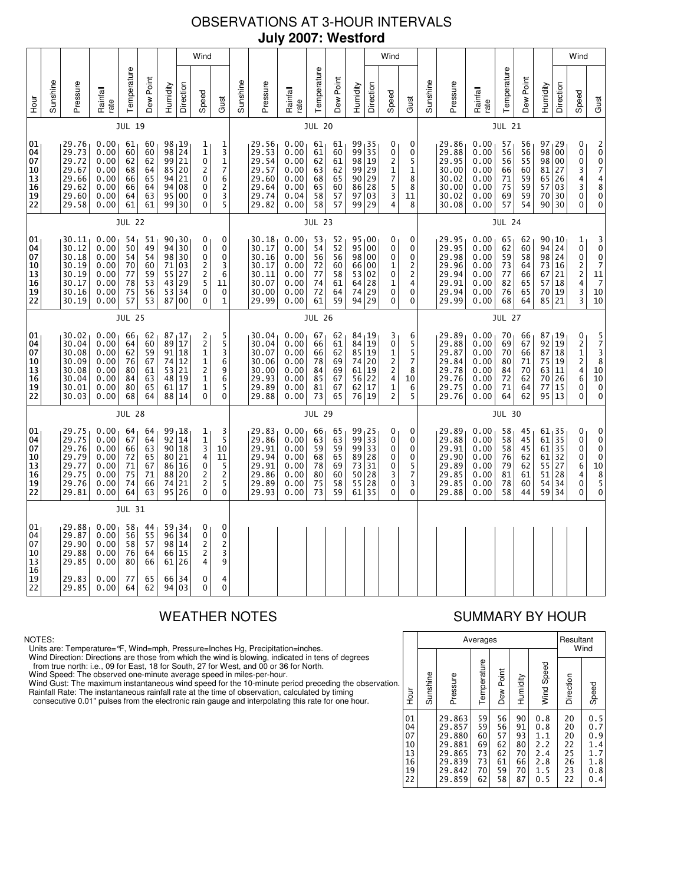# OBSERVATIONS AT 3-HOUR INTERVALS **July 2007: Westford**

|                                                                                             |          |                                                                      |                                                              |                                              |                                              |                      |                                                                              | Wind                                                                                                   |                                                                    |          |                                                                      |                                                              |                                              |                                                           |                                                                    |                                            | Wind                                              |                                                  |               |                                                                      |                                                              |                                              |                                              |                                                                |                                  | Wind                                                                  |                                                                                                                     |
|---------------------------------------------------------------------------------------------|----------|----------------------------------------------------------------------|--------------------------------------------------------------|----------------------------------------------|----------------------------------------------|----------------------|------------------------------------------------------------------------------|--------------------------------------------------------------------------------------------------------|--------------------------------------------------------------------|----------|----------------------------------------------------------------------|--------------------------------------------------------------|----------------------------------------------|-----------------------------------------------------------|--------------------------------------------------------------------|--------------------------------------------|---------------------------------------------------|--------------------------------------------------|---------------|----------------------------------------------------------------------|--------------------------------------------------------------|----------------------------------------------|----------------------------------------------|----------------------------------------------------------------|----------------------------------|-----------------------------------------------------------------------|---------------------------------------------------------------------------------------------------------------------|
| Hour                                                                                        | Sunshine | Pressure                                                             | Rainfall<br>rate                                             | Temperature                                  | Dew Point                                    | Humidity             | Direction                                                                    | Speed                                                                                                  | Gust                                                               | Sunshine | Pressure                                                             | Rainfall<br>rate                                             | Temperature                                  | Dew Point                                                 | Humidity                                                           | Direction                                  | Speed                                             | Gust                                             | Sunshine      | Pressure                                                             | Rainfall<br>rate                                             | Temperature                                  | Dew Point                                    | Humidity                                                       | Direction                        | Speed                                                                 | Gust                                                                                                                |
|                                                                                             |          |                                                                      |                                                              | <b>JUL 19</b>                                |                                              |                      |                                                                              |                                                                                                        |                                                                    |          |                                                                      |                                                              | <b>JUL 20</b>                                |                                                           |                                                                    |                                            |                                                   |                                                  |               |                                                                      |                                                              | <b>JUL 21</b>                                |                                              |                                                                |                                  |                                                                       |                                                                                                                     |
| 01<br>04<br>07<br>10<br>13<br>16<br>19<br>22                                                |          | 29.76<br>29.73<br>29.72<br>29.67<br>29.66<br>29.62<br>29.60<br>29.58 | 0.00<br>0.00<br>0.00<br>0.00<br>0.00<br>0.00<br>0.00<br>0.00 | 61<br>60<br>62<br>68<br>66<br>66<br>64<br>61 | 60<br>60<br>62<br>64<br>65<br>64<br>63<br>61 | 98<br>85<br>94       | 98 19<br>24<br>99 21<br>20<br>21<br>94 08<br>95 00<br>99 30                  | 1<br>$\mathbf{1}$<br>$\mathbf 0$<br>$\overline{c}$<br>$\mathbf 0$<br>0<br>0<br>0                       | 1<br>$\frac{3}{1}$<br>7<br>6<br>2<br>3<br>5                        |          | 29.56<br>29.53<br>29.54<br>29.57<br>29.60<br>29.64<br>29.74<br>29.82 | 0.00<br>0.00<br>0.00<br>0.00<br>0.00<br>0.00<br>0.04<br>0.00 | 61<br>61<br>62<br>63<br>68<br>65<br>58<br>58 | 61<br>60<br>61<br>62<br>65<br>60<br>57<br>57              | $99_135$<br>99<br>98<br>99<br>90<br>86<br>97<br>99 29              | 35<br>$\vert$ 19<br>29<br>29<br>28<br>  03 | 0<br>0<br>2<br>1<br>7<br>5<br>3<br>4              | 0<br>0<br>5<br>$\mathbf{1}$<br>8<br>8<br>11<br>8 |               | 29.86<br>29.88<br>29.95<br>30.00<br>30.02<br>30.00<br>30.02<br>30.08 | 0.00<br>0.00<br>0.00<br>0.00<br>0.00<br>0.00<br>0.00<br>0.00 | 57<br>56<br>56<br>66<br>71<br>75<br>69<br>57 | 56<br>56<br>55<br>60<br>59<br>59<br>59<br>54 | 97, 29<br>98<br>98 00<br>81 27<br>65<br>70                     | 00<br>26<br>57 03<br>30<br>90 30 | 0<br>0<br>$\pmb{0}$<br>3<br>$\frac{4}{3}$<br>0<br>0                   | 2 0 0 7<br>$\frac{4}{8}$<br>$\mathbf 0$<br>0                                                                        |
|                                                                                             |          |                                                                      |                                                              | <b>JUL 22</b>                                |                                              |                      |                                                                              |                                                                                                        |                                                                    |          | <b>JUL 23</b>                                                        |                                                              |                                              |                                                           |                                                                    |                                            |                                                   |                                                  | <b>JUL 24</b> |                                                                      |                                                              |                                              |                                              |                                                                |                                  |                                                                       |                                                                                                                     |
| 01<br>04<br>07<br>10<br>13<br>$\overline{16}$<br>19<br>22                                   |          | 30.11<br>30.12<br>30.18<br>30.19<br>30.19<br>30.17<br>30.16<br>30.19 | 0.00<br>0.00<br>0.00<br>0.00<br>0.00<br>0.00<br>0.00<br>0.00 | 54<br>50<br>54<br>70<br>77<br>78<br>75<br>57 | 51<br>49<br>54<br>60<br>59<br>53<br>56<br>53 | 94<br>55             | 90, 30<br>$\overline{30}$<br>98 30<br>71 03<br>27<br>43 29<br>53 34<br>87 00 | 0<br>$\mathbf 0$<br>0<br>$\overline{c}$<br>$\overline{c}$<br>5<br>$\mathbf 0$<br>0                     | 0<br>0<br>0<br>3<br>6<br>11<br>0<br>$\mathbf{1}$                   |          | 30.18<br>30.17<br>30.16<br>30.17<br>30.11<br>30.07<br>30.00<br>29.99 | 0.00<br>0.00<br>0.00<br>0.00<br>0.00<br>0.00<br>0.00<br>0.00 | 53<br>54<br>56<br>72<br>77<br>74<br>72<br>61 | 52<br>$5\overline{2}$<br>56<br>60<br>58<br>61<br>64<br>59 | 95,00<br>$\overline{95}$<br>98 00<br>66<br>53<br>64 28<br>74<br>94 | 00<br>  00<br>02<br>29<br>29               | 0<br>0<br>0<br>1<br>0<br>1<br>0<br>0              | 0<br>0<br>0<br>2<br>2<br>4<br>0<br>0             |               | 29.95<br>29.95<br>29.98<br>29.96<br>29.94<br>29.91<br>29.94<br>29.99 | 0.00<br>0.00<br>0.00<br>0.00<br>0.00<br>0.00<br>0.00<br>0.00 | 65<br>62<br>59<br>73<br>77<br>82<br>76<br>68 | 62<br>60<br>58<br>64<br>66<br>65<br>65<br>64 | 90, 10<br>94<br>98 24<br>73<br>67<br>70<br>85 21               | 24<br>16<br>21<br>57 18<br>19    | 1<br>ō<br>0<br>$\frac{2}{2}$<br>$\frac{1}{3}$<br>3                    | $\frac{3}{0}$<br>$\frac{0}{7}$<br>11<br>$\overline{7}$<br>10<br>10                                                  |
|                                                                                             |          |                                                                      |                                                              | <b>JUL 25</b>                                |                                              |                      |                                                                              |                                                                                                        |                                                                    |          |                                                                      |                                                              | <b>JUL 26</b>                                |                                                           |                                                                    |                                            |                                                   |                                                  |               | <b>JUL 27</b>                                                        |                                                              |                                              |                                              |                                                                |                                  |                                                                       |                                                                                                                     |
| 01<br>04<br>07<br>10<br> 13<br>16<br>19<br>22                                               |          | 30.02<br>30.04<br>30.08<br>30.09<br>30.08<br>30.04<br>30.01<br>30.03 | 0.00<br>0.00<br>0.00<br>0.00<br>0.00<br>0.00<br>0.00<br>0.00 | 66<br>64<br>62<br>76<br>80<br>84<br>80<br>68 | 62<br>60<br>59<br>67<br>61<br>63<br>65<br>64 | 91<br>53<br>48       | 87, 17<br>89 17<br>18<br>74 12<br>21<br>19<br>61 17<br>88 14                 | 2<br>$\overline{\mathbf{c}}$<br>$\mathbf{1}$<br>1<br>$\overline{\mathbf{c}}$<br>$\mathbf{1}$<br>1<br>0 | 5<br>5<br>3<br>6<br>9<br>6<br>5<br>0                               |          | 30.04<br>30.04<br>30.07<br>30.06<br>30.00<br>29.93<br>29.89<br>29.88 | 0.00<br>0.00<br>0.00<br>0.00<br>0.00<br>0.00<br>0.00<br>0.00 | 67<br>66<br>66<br>78<br>84<br>85<br>81<br>73 | 62<br>61<br>62<br>69<br>69<br>67<br>67<br>65              | 84, 19<br>84 19<br>85<br>74 20<br>61<br>56<br>62 17<br>76 19       | 19<br>19<br> 22                            | 3<br>0<br>1<br>2<br>$\overline{c}$<br>4<br>1<br>2 | 6<br>5<br>5<br>7<br>8<br>10<br>6<br>5            |               | 29.89<br>29.88<br>29.87<br>29.84<br>29.78<br>29.76<br>29.75<br>29.76 | 0.00<br>0.00<br>0.00<br>0.00<br>0.00<br>0.00<br>0.00<br>0.00 | 70<br>69<br>70<br>80<br>84<br>72<br>71<br>64 | 66<br>67<br>66<br>71<br>70<br>62<br>64<br>62 | 87,19<br>92 19<br>87<br>75<br>63<br>70<br>77<br>95 13          | 18<br> 19<br>11<br>26<br> 15     | 0<br>$\overline{\mathbf{c}}$<br>$\mathbf{1}$<br>2<br>4<br>6<br>0<br>0 | 5<br>7<br>3<br>8<br>10<br>10<br>$\mathbf 0$<br>$\pmb{0}$                                                            |
|                                                                                             |          |                                                                      |                                                              | <b>JUL 28</b>                                |                                              |                      |                                                                              |                                                                                                        |                                                                    |          |                                                                      |                                                              | <b>JUL 29</b>                                |                                                           |                                                                    |                                            |                                                   |                                                  |               |                                                                      |                                                              | <b>JUL 30</b>                                |                                              |                                                                |                                  |                                                                       |                                                                                                                     |
| 01<br>04<br>07<br> 10<br> 13<br>16<br>19<br>22                                              |          | 29.75<br>29.75<br>29.76<br>29.79<br>29.77<br>29.75<br>29.76<br>29.81 | 0.00<br>0.00<br>0.00<br>0.00<br>0.00<br>0.00<br>0.00<br>0.00 | 64<br>67<br>66<br>72<br>71<br>75<br>74<br>64 | 64<br>64<br>63<br>65<br>67<br>71<br>66<br>63 | 99<br>90<br>86<br>88 | 18<br>92 14<br>18<br>80 21<br>16<br>20<br>74 21<br>95 26                     | 1<br>$\mathbf{1}$<br>3<br>4<br>0<br>$\overline{c}$<br>$\overline{c}$<br>0                              | 3<br>5<br>10<br>11<br>5<br>$\overline{2}$<br>5<br>0                |          | 29.83<br>29.86<br>29.91<br>29.94<br>29.91<br>29.86<br>29.89<br>29.93 | 0.00<br>0.00<br>0.00<br>0.00<br>0.00<br>0.00<br>0.00<br>0.00 | 66<br>63<br>59<br>68<br>78<br>80<br>75<br>73 | 65<br>63<br>59<br>65<br>69<br>60<br>58<br>59              | $99_125$<br>99<br>99 33<br>89 28<br>73<br>50<br>55<br>61           | 33<br>31<br>28<br>$\overline{28}$<br>35    | 0<br>0<br>0<br>0<br>0<br>3<br>0<br>0              | 0<br>0<br>0<br>0<br>5<br>7<br>3<br>0             |               | 29.89<br>29.88<br>29.91<br>29.90<br>29.89<br>29.85<br>29.85<br>29.88 | 0.00<br>0.00<br>0.00<br>0.00<br>0.00<br>0.00<br>0.00<br>0.00 | 58<br>58<br>58<br>76<br>79<br>81<br>78<br>58 | 45<br>45<br>45<br>62<br>62<br>61<br>60<br>44 | 61, 35<br>61 35<br>$61$   35<br>$61$   32<br>55<br>51<br>59 34 | 27<br>28<br>54 34                | 0<br>0<br>0<br>0<br>6<br>4<br>$\mathbf 0$<br>0                        | 0<br>$\begin{smallmatrix}0\0\0\end{smallmatrix}$<br>$\pmb{0}$<br>$\begin{array}{c}\n10 \\ 8 \\ 5\n\end{array}$<br>0 |
|                                                                                             |          |                                                                      |                                                              | <b>JUL 31</b>                                |                                              |                      |                                                                              |                                                                                                        |                                                                    |          |                                                                      |                                                              |                                              |                                                           |                                                                    |                                            |                                                   |                                                  |               |                                                                      |                                                              |                                              |                                              |                                                                |                                  |                                                                       |                                                                                                                     |
| 01<br>04<br>07<br>10<br>$\begin{array}{ c } \hline 13 \\ \hline 16 \end{array}$<br>19<br>22 |          | 29.88<br>29.87<br>29.90<br>29.88<br>29.85<br>29.83<br>29.85          | 0.00<br>0.00<br>0.00<br>0.00<br>0.00<br>0.00<br>0.00         | 58<br>56<br>58<br>76<br>80<br>77<br>64       | 44<br>55<br>57<br>64<br>66<br>65<br>62       | 66                   | 59 34<br>96 34<br>98 14<br>66 15<br>61 26<br>34<br>94 03                     | 0<br>$\mathbf 0$<br>$\overline{c}$<br>$\overline{\mathbf{c}}$<br>4<br>0<br>$\mathbf{0}$                | 0<br>0<br>$\overline{\mathbf{c}}$<br>3<br>9<br>4<br>$\overline{0}$ |          |                                                                      |                                                              |                                              |                                                           |                                                                    |                                            |                                                   |                                                  |               |                                                                      |                                                              |                                              |                                              |                                                                |                                  |                                                                       |                                                                                                                     |

### NOTES:

Units are: Temperature=°F, Wind=mph, Pressure=Inches Hg, Precipitation=inches.

Wind Direction: Directions are those from which the wind is blowing, indicated in tens of degrees<br>from true north: i.e., 09 for East, 18 for South, 27 for West, and 00 or 36 for North.<br>Wind Speed: The observed one-minute a

Wind Gust: The maximum instantaneous wind speed for the 10-minute period preceding the observation Rainfall Rate: The instantaneous rainfall rate at the time of observation, calculated by timing

consecutive 0.01" pulses from the electronic rain gauge and interpolating this rate for one hour.

# WEATHER NOTES SUMMARY BY HOUR

|    |                                              |          | Averages                                                                     |                                              | Resultant                                    | Wind                                         |                                                      |                                              |                                                      |
|----|----------------------------------------------|----------|------------------------------------------------------------------------------|----------------------------------------------|----------------------------------------------|----------------------------------------------|------------------------------------------------------|----------------------------------------------|------------------------------------------------------|
| n. | Hour                                         | Sunshine | Pressure                                                                     | Temperature                                  | Dew Point                                    | Humidity                                     | Wind Speed                                           | Direction                                    | Speed                                                |
|    | 01<br>04<br>07<br>10<br>13<br>16<br>19<br>22 |          | 29.863<br>29.857<br>29.880<br>29.881<br>29.865<br>29.839<br>29.842<br>29.859 | 59<br>59<br>60<br>69<br>73<br>73<br>70<br>62 | 56<br>56<br>57<br>62<br>62<br>61<br>59<br>58 | 90<br>91<br>93<br>80<br>70<br>66<br>70<br>87 | 0.8<br>0.8<br>1.1<br>2.2<br>2.4<br>2.8<br>1.5<br>0.5 | 20<br>20<br>20<br>22<br>25<br>26<br>23<br>22 | 0.5<br>0.7<br>0.9<br>1.4<br>1.7<br>1.8<br>0.8<br>0.4 |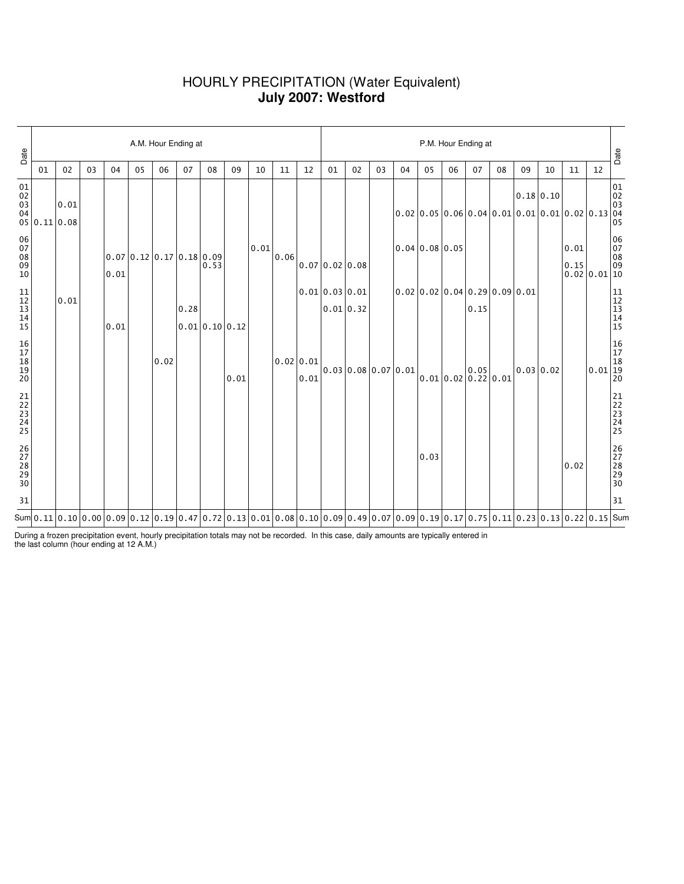## HOURLY PRECIPITATION (Water Equivalent) **July 2007: Westford**

| Date                                                             |              | A.M. Hour Ending at |    |      |    |                                                                                                                                                                                                                                                                                                                                                              |      |                |      |      |      |                     |                             |                     | P.M. Hour Ending at |    |                |    |                                                 |    |             |    |                              |                                                                     |                                                           |  |  |
|------------------------------------------------------------------|--------------|---------------------|----|------|----|--------------------------------------------------------------------------------------------------------------------------------------------------------------------------------------------------------------------------------------------------------------------------------------------------------------------------------------------------------------|------|----------------|------|------|------|---------------------|-----------------------------|---------------------|---------------------|----|----------------|----|-------------------------------------------------|----|-------------|----|------------------------------|---------------------------------------------------------------------|-----------------------------------------------------------|--|--|
|                                                                  | 01           | 02                  | 03 | 04   | 05 | 06                                                                                                                                                                                                                                                                                                                                                           | 07   | 08             | 09   | 10   | 11   | 12                  | 01                          | 02                  | 03                  | 04 | 05             | 06 | 07                                              | 08 | 09          | 10 | 11                           | 12                                                                  | Date                                                      |  |  |
| 01<br>02<br>03<br>04                                             | 05 0.11 0.08 | 0.01                |    |      |    |                                                                                                                                                                                                                                                                                                                                                              |      |                |      |      |      |                     |                             |                     |                     |    |                |    | $ 0.02 0.05 0.06 0.04 0.01 0.01 0.01 0.02 0.13$ |    | $0.18$ 0.10 |    |                              |                                                                     | $\begin{array}{c} 01 \\ 02 \\ 03 \\ 04 \\ 05 \end{array}$ |  |  |
| $\begin{array}{c} 06 \\ 07 \end{array}$<br>$\frac{08}{09}$<br>10 |              |                     |    | 0.01 |    | $0.07 \mid 0.12 \mid 0.17 \mid 0.18 \mid 0.09$                                                                                                                                                                                                                                                                                                               |      | 0.53           |      | 0.01 | 0.06 |                     | 0.07 0.02 0.08              |                     |                     |    | 0.04 0.08 0.05 |    |                                                 |    |             |    | 0.01<br>0.15<br>0.02 0.01 10 |                                                                     | 06<br>07<br>08<br>09                                      |  |  |
| $\begin{array}{c} 11 \\ 12 \\ 13 \\ 14 \end{array}$<br>15        |              | 0.01                |    | 0.01 |    |                                                                                                                                                                                                                                                                                                                                                              | 0.28 | 0.01 0.10 0.12 |      |      |      |                     | 0.01 0.03 0.01<br>0.01 0.32 |                     |                     |    |                |    | 0.02 0.02 0.04 0.29 0.09 0.01<br>0.15           |    |             |    |                              |                                                                     | 11<br>12<br>13<br>14<br>15                                |  |  |
| 16<br>17<br>18<br>19<br>19<br>20                                 |              |                     |    |      |    | 0.02                                                                                                                                                                                                                                                                                                                                                         |      |                | 0.01 |      |      | 0.02   0.01<br>0.01 |                             | 0.03 0.08 0.07 0.01 |                     |    |                |    | 0.05<br>$0.01$ 0.02 0.22 0.01                   |    | 0.03 0.02   |    |                              | $0.01\begin{array}{ l }\hline 16\\17\\18\\19\\20\hline \end{array}$ |                                                           |  |  |
| 21<br>22<br>23<br>24<br>25                                       |              |                     |    |      |    |                                                                                                                                                                                                                                                                                                                                                              |      |                |      |      |      |                     |                             |                     |                     |    |                |    |                                                 |    |             |    |                              |                                                                     | 21<br>22<br>23<br>24<br>25                                |  |  |
| 26<br>27<br>28<br>29<br>29<br>30                                 |              |                     |    |      |    |                                                                                                                                                                                                                                                                                                                                                              |      |                |      |      |      |                     |                             |                     |                     |    | 0.03           |    |                                                 |    |             |    | 0.02                         |                                                                     | 26<br>27<br>28<br>29<br>29<br>30                          |  |  |
| 31                                                               |              |                     |    |      |    |                                                                                                                                                                                                                                                                                                                                                              |      |                |      |      |      |                     |                             |                     |                     |    |                |    |                                                 |    |             |    |                              |                                                                     | 31                                                        |  |  |
|                                                                  |              |                     |    |      |    | Sum $\vert 0.11 \vert 0.10 \vert 0.00 \vert 0.09 \vert 0.12 \vert 0.19 \vert 0.47 \vert 0.72 \vert 0.13 \vert 0.01 \vert 0.08 \vert 0.10 \vert 0.09 \vert 0.49 \vert 0.07 \vert 0.09 \vert 0.19 \vert 0.17 \vert 0.75 \vert 0.11 \vert 0.23 \vert 0.13 \vert 0.22 \vert 0.15 \vert 5000 \vert 0.00 \vert 0.00 \vert 0.01 \vert 0.00 \vert 0.01 \vert 0.00 \$ |      |                |      |      |      |                     |                             |                     |                     |    |                |    |                                                 |    |             |    |                              |                                                                     |                                                           |  |  |

During a frozen precipitation event, hourly precipitation totals may not be recorded. In this case, daily amounts are typically entered in the last column (hour ending at 12 A.M.)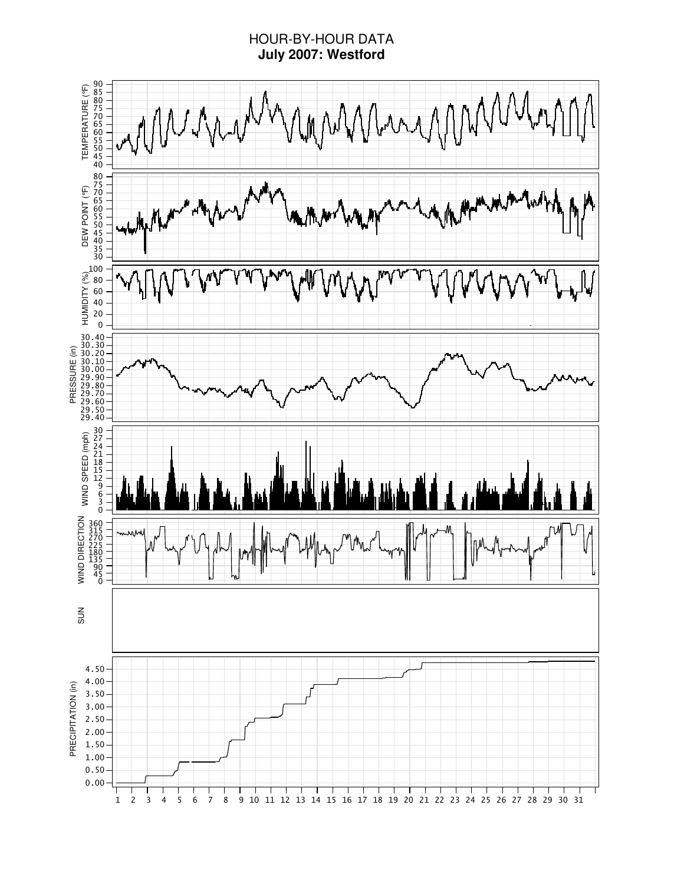# HOUR-BY-HOUR DATA **July 2007: Westford**